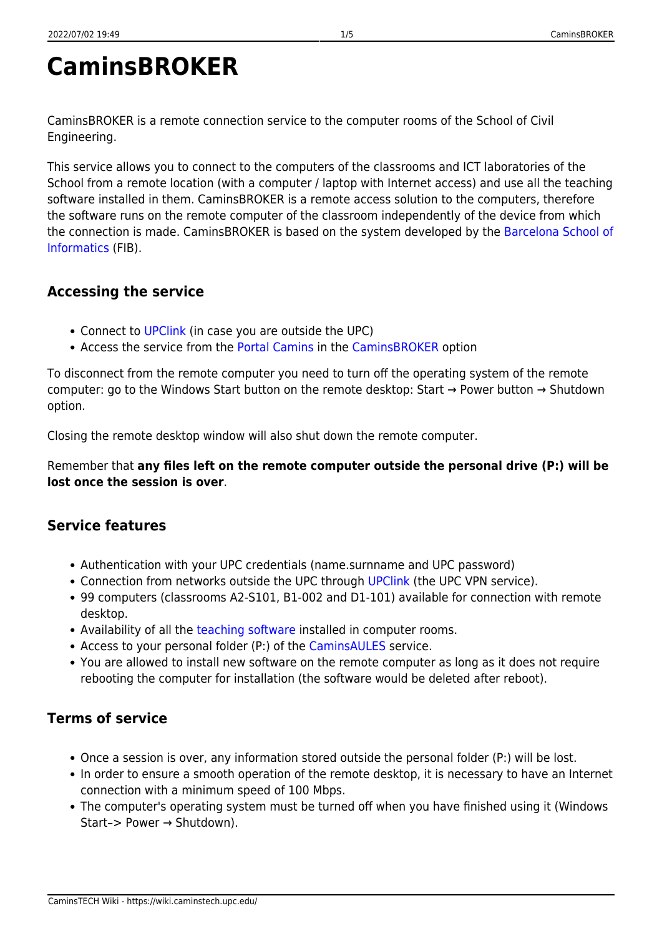# **CaminsBROKER**

CaminsBROKER is a remote connection service to the computer rooms of the School of Civil Engineering.

This service allows you to connect to the computers of the classrooms and ICT laboratories of the School from a remote location (with a computer / laptop with Internet access) and use all the teaching software installed in them. CaminsBROKER is a remote access solution to the computers, therefore the software runs on the remote computer of the classroom independently of the device from which the connection is made. CaminsBROKER is based on the system developed by the [Barcelona School of](https://www.fib.upc.edu/ca/la-fib/serveis-tic/connexio-remota-als-pc-dels-laboratoris) [Informatics](https://www.fib.upc.edu/ca/la-fib/serveis-tic/connexio-remota-als-pc-dels-laboratoris) (FIB).

# **Accessing the service**

- Connect to [UPClink](https://serveistic.upc.edu/ca/upclink) (in case you are outside the UPC)
- Access the service from the [Portal Camins](https://portal.camins.upc.edu/home) in the [CaminsBROKER](https://portal.camins.upc.edu/caminsbroker) option

To disconnect from the remote computer you need to turn off the operating system of the remote computer: go to the Windows Start button on the remote desktop: Start → Power button → Shutdown option.

Closing the remote desktop window will also shut down the remote computer.

Remember that **any files left on the remote computer outside the personal drive (P:) will be lost once the session is over**.

#### **Service features**

- Authentication with your UPC credentials (name.surnname and UPC password)
- Connection from networks outside the UPC through [UPClink](https://serveistic.upc.edu/ca/upclink) (the UPC VPN service).
- 99 computers (classrooms A2-S101, B1-002 and D1-101) available for connection with remote desktop.
- Availability of all the [teaching software](https://camins.upc.edu/ca/serveis/recursos-docencia/programari-aules) installed in computer rooms.
- Access to your personal folder (P:) of the [CaminsAULES](http://caminsaules.upc.edu/) service.
- You are allowed to install new software on the remote computer as long as it does not require rebooting the computer for installation (the software would be deleted after reboot).

# **Terms of service**

- Once a session is over, any information stored outside the personal folder (P:) will be lost.
- In order to ensure a smooth operation of the remote desktop, it is necessary to have an Internet connection with a minimum speed of 100 Mbps.
- The computer's operating system must be turned off when you have finished using it (Windows Start–> Power → Shutdown).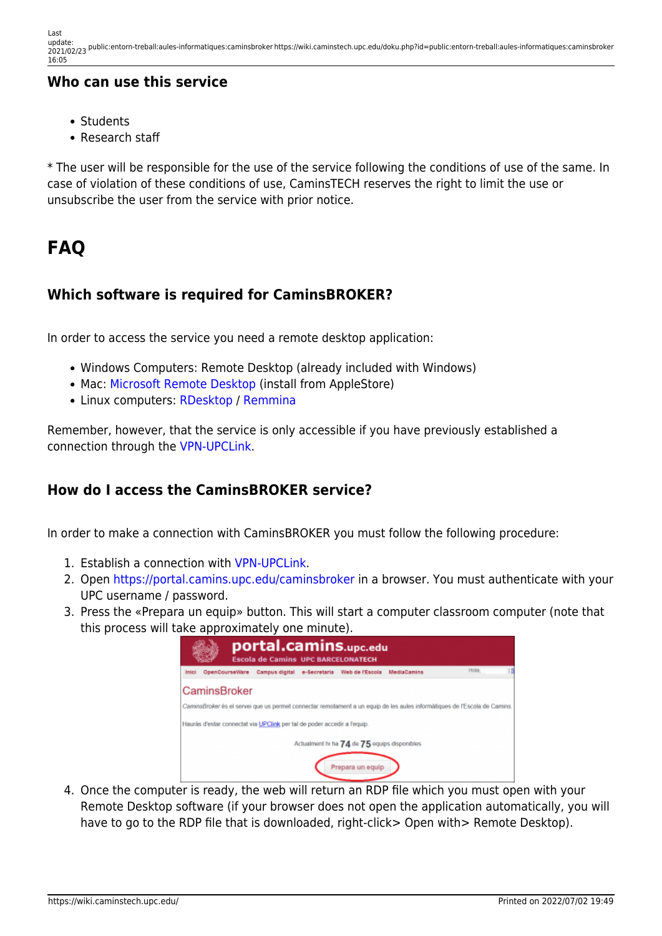### **Who can use this service**

- Students
- Research staff

\* The user will be responsible for the use of the service following the conditions of use of the same. In case of violation of these conditions of use, CaminsTECH reserves the right to limit the use or unsubscribe the user from the service with prior notice.

# **FAQ**

# **Which software is required for CaminsBROKER?**

In order to access the service you need a remote desktop application:

- Windows Computers: Remote Desktop (already included with Windows)
- Mac: [Microsoft Remote Desktop](https://apps.apple.com/es/app/microsoft-remote-desktop-10/id1295203466?l=en&mt=12) (install from AppleStore)
- Linux computers: [RDesktop](https://www.rdesktop.org/) / [Remmina](https://remmina.org/)

Remember, however, that the service is only accessible if you have previously established a connection through the [VPN-UPCLink.](https://serveistic.upc.edu/ca/upclink/documentacio)

# **How do I access the CaminsBROKER service?**

In order to make a connection with CaminsBROKER you must follow the following procedure:

- 1. Establish a connection with [VPN-UPCLink](https://serveistic.upc.edu/ca/upclink/documentacio).
- 2. Open<https://portal.camins.upc.edu/caminsbroker> in a browser. You must authenticate with your UPC username / password.
- 3. Press the «Prepara un equip» button. This will start a computer classroom computer (note that this process will take approximately one minute).

|              |                       | <b>Escola de Camins UPC BARCELONATECH</b>                                | portal.camins.upc.edu                        |                                                                                                                           |       |  |
|--------------|-----------------------|--------------------------------------------------------------------------|----------------------------------------------|---------------------------------------------------------------------------------------------------------------------------|-------|--|
| Inici        | <b>OpenCourseWare</b> | Campus digital e-Secretaria                                              | Web de l'Escola                              | <b>MediaCamins</b>                                                                                                        | Hola. |  |
| CaminsBroker |                       |                                                                          |                                              |                                                                                                                           |       |  |
|              |                       |                                                                          |                                              | CaminsBroker és el servei que us permet connectar remotament a un equip de les aules informàtiques de l'Escola de Camins. |       |  |
|              |                       | Hauràs d'estar connectat via UPClink per tal de poder accedir a l'equip. |                                              |                                                                                                                           |       |  |
|              |                       |                                                                          | Actualment hi ha 74 de 75 equips disponibles |                                                                                                                           |       |  |
|              |                       |                                                                          | Prepara un equip                             |                                                                                                                           |       |  |

4. Once the computer is ready, the web will return an RDP file which you must open with your Remote Desktop software (if your browser does not open the application automatically, you will have to go to the RDP file that is downloaded, right-click> Open with> Remote Desktop).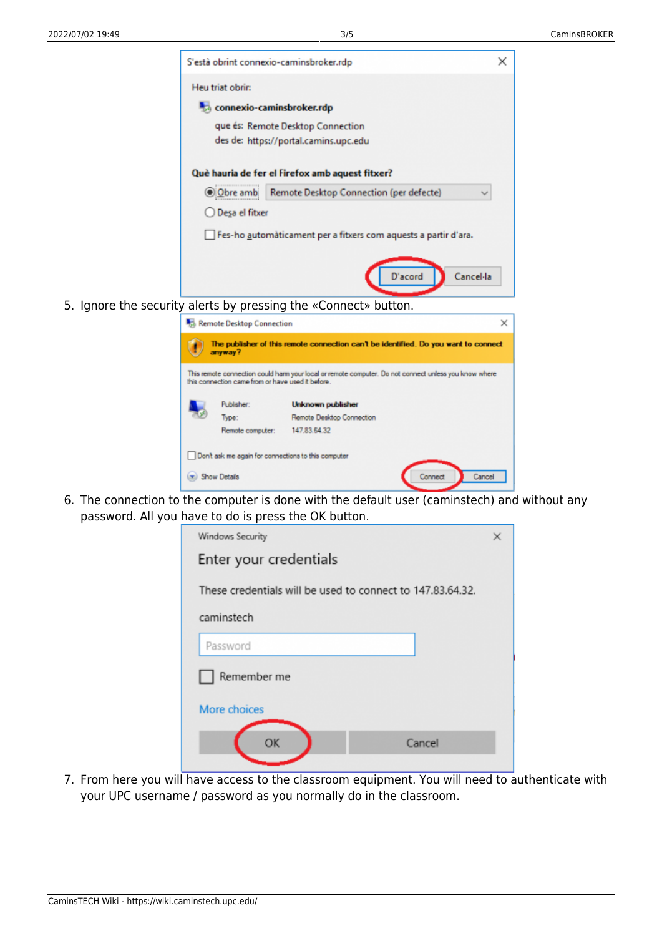

5. Ignore the security alerts by pressing the «Connect» button.



6. The connection to the computer is done with the default user (caminstech) and without any password. All you have to do is press the OK button.

7. From here you will have access to the classroom equipment. You will need to authenticate with your UPC username / password as you normally do in the classroom.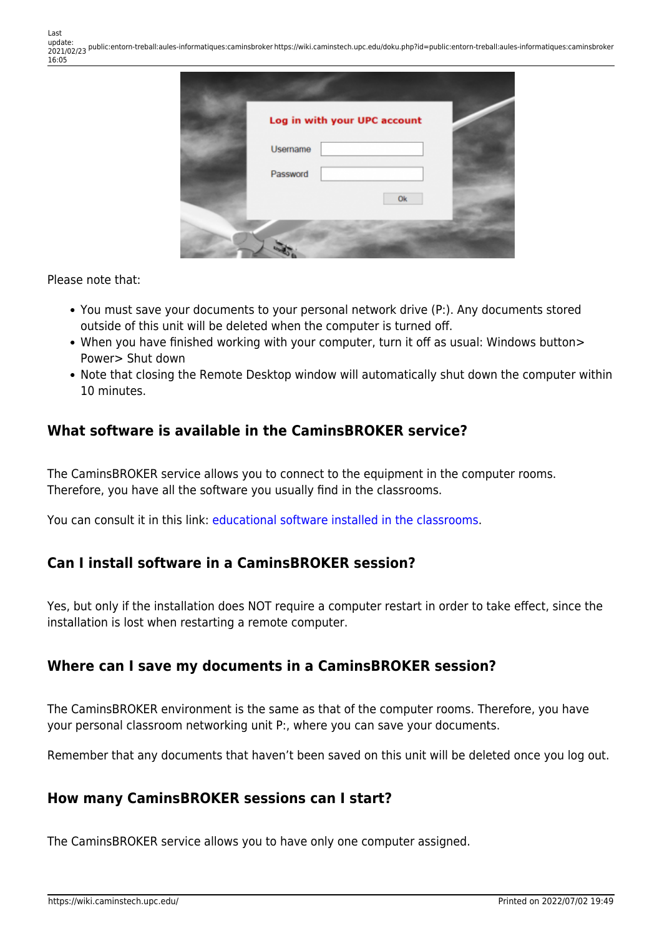| Log in with your UPC account |    |  |
|------------------------------|----|--|
| Username                     |    |  |
| Password                     |    |  |
|                              | Ok |  |

Please note that:

- You must save your documents to your personal network drive (P:). Any documents stored outside of this unit will be deleted when the computer is turned off.
- When you have finished working with your computer, turn it off as usual: Windows button> Power> Shut down
- Note that closing the Remote Desktop window will automatically shut down the computer within 10 minutes.

## **What software is available in the CaminsBROKER service?**

The CaminsBROKER service allows you to connect to the equipment in the computer rooms. Therefore, you have all the software you usually find in the classrooms.

You can consult it in this link: [educational software installed in the classrooms](https://camins.upc.edu/ca/serveis/recursos-docencia/programari-aules).

#### **Can I install software in a CaminsBROKER session?**

Yes, but only if the installation does NOT require a computer restart in order to take effect, since the installation is lost when restarting a remote computer.

#### **Where can I save my documents in a CaminsBROKER session?**

The CaminsBROKER environment is the same as that of the computer rooms. Therefore, you have your personal classroom networking unit P:, where you can save your documents.

Remember that any documents that haven't been saved on this unit will be deleted once you log out.

#### **How many CaminsBROKER sessions can I start?**

The CaminsBROKER service allows you to have only one computer assigned.